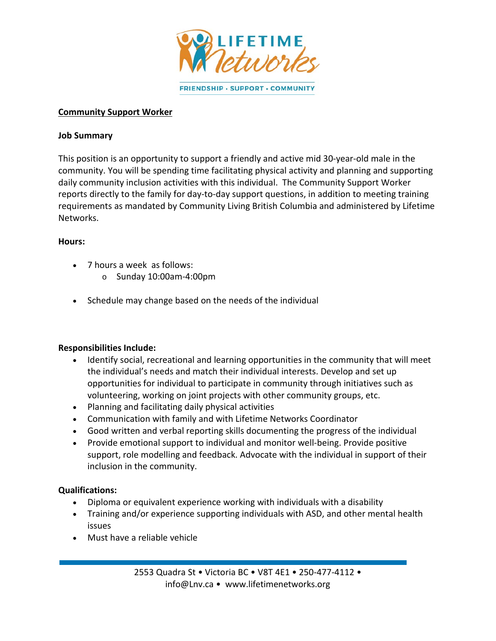

# **Community Support Worker**

## **Job Summary**

This position is an opportunity to support a friendly and active mid 30-year-old male in the community. You will be spending time facilitating physical activity and planning and supporting daily community inclusion activities with this individual. The Community Support Worker reports directly to the family for day-to-day support questions, in addition to meeting training requirements as mandated by Community Living British Columbia and administered by Lifetime Networks.

# **Hours:**

- 7 hours a week as follows:
	- $\circ$  Sunday 10:00am-4:00pm
- Schedule may change based on the needs of the individual

# **Responsibilities Include:**

- Identify social, recreational and learning opportunities in the community that will meet the individual's needs and match their individual interests. Develop and set up opportunities for individual to participate in community through initiatives such as volunteering, working on joint projects with other community groups, etc.
- Planning and facilitating daily physical activities
- Communication with family and with Lifetime Networks Coordinator
- Good written and verbal reporting skills documenting the progress of the individual
- Provide emotional support to individual and monitor well-being. Provide positive support, role modelling and feedback. Advocate with the individual in support of their inclusion in the community.

# **Qualifications:**

- Diploma or equivalent experience working with individuals with a disability
- Training and/or experience supporting individuals with ASD, and other mental health issues
- Must have a reliable vehicle